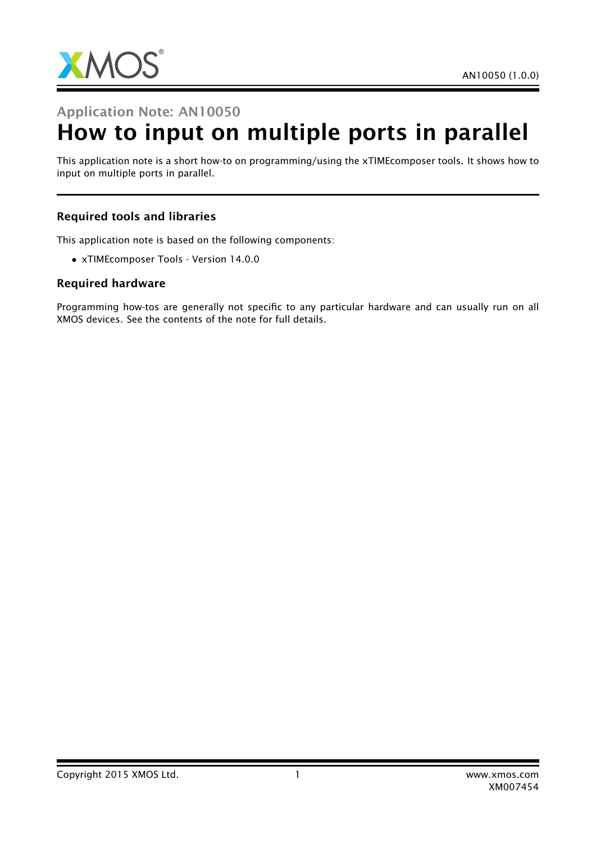

## Application Note: AN10050

# How to input on multiple ports in parallel

This application note is a short how-to on programming/using the xTIMEcomposer tools. It shows how to input on multiple ports in parallel.

### Required tools and libraries

This application note is based on the following components:

• xTIMEcomposer Tools - Version 14.0.0

#### Required hardware

Programming how-tos are generally not specific to any particular hardware and can usually run on all XMOS devices. See the contents of the note for full details.